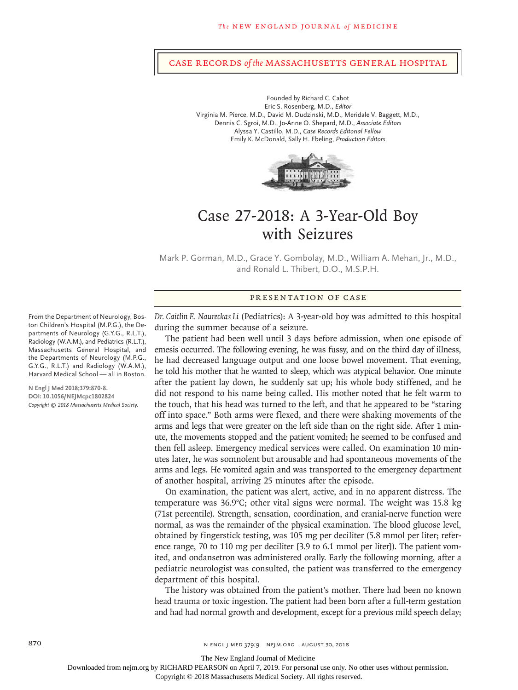Case Records *of the* Massachusetts General Hospital

Founded by Richard C. Cabot Eric S. Rosenberg, M.D., *Editor* Virginia M. Pierce, M.D., David M. Dudzinski, M.D., Meridale V. Baggett, M.D., Dennis C. Sgroi, M.D., Jo‑Anne O. Shepard, M.D., *Associate Editors* Alyssa Y. Castillo, M.D., *Case Records Editorial Fellow* Emily K. McDonald, Sally H. Ebeling, *Production Editors*



# Case 27-2018: A 3-Year-Old Boy with Seizures

Mark P. Gorman, M.D., Grace Y. Gombolay, M.D., William A. Mehan, Jr., M.D., and Ronald L. Thibert, D.O., M.S.P.H.

## Presentation Of Case

*Dr. Caitlin E. Naureckas Li* (Pediatrics): A 3-year-old boy was admitted to this hospital during the summer because of a seizure.

The patient had been well until 3 days before admission, when one episode of emesis occurred. The following evening, he was fussy, and on the third day of illness, he had decreased language output and one loose bowel movement. That evening, he told his mother that he wanted to sleep, which was atypical behavior. One minute after the patient lay down, he suddenly sat up; his whole body stiffened, and he did not respond to his name being called. His mother noted that he felt warm to the touch, that his head was turned to the left, and that he appeared to be "staring off into space." Both arms were flexed, and there were shaking movements of the arms and legs that were greater on the left side than on the right side. After 1 minute, the movements stopped and the patient vomited; he seemed to be confused and then fell asleep. Emergency medical services were called. On examination 10 minutes later, he was somnolent but arousable and had spontaneous movements of the arms and legs. He vomited again and was transported to the emergency department of another hospital, arriving 25 minutes after the episode.

On examination, the patient was alert, active, and in no apparent distress. The temperature was 36.9°C; other vital signs were normal. The weight was 15.8 kg (71st percentile). Strength, sensation, coordination, and cranial-nerve function were normal, as was the remainder of the physical examination. The blood glucose level, obtained by fingerstick testing, was 105 mg per deciliter (5.8 mmol per liter; reference range, 70 to 110 mg per deciliter [3.9 to 6.1 mmol per liter]). The patient vomited, and ondansetron was administered orally. Early the following morning, after a pediatric neurologist was consulted, the patient was transferred to the emergency department of this hospital.

The history was obtained from the patient's mother. There had been no known head trauma or toxic ingestion. The patient had been born after a full-term gestation and had had normal growth and development, except for a previous mild speech delay;

From the Department of Neurology, Boston Children's Hospital (M.P.G.), the Departments of Neurology (G.Y.G., R.L.T.), Radiology (W.A.M.), and Pediatrics (R.L.T.), Massachusetts General Hospital, and the Departments of Neurology (M.P.G., G.Y.G., R.L.T.) and Radiology (W.A.M.), Harvard Medical School — all in Boston.

**N Engl J Med 2018;379:870-8. DOI: 10.1056/NEJMcpc1802824** *Copyright © 2018 Massachusetts Medical Society.*

The New England Journal of Medicine

Downloaded from nejm.org by RICHARD PEARSON on April 7, 2019. For personal use only. No other uses without permission.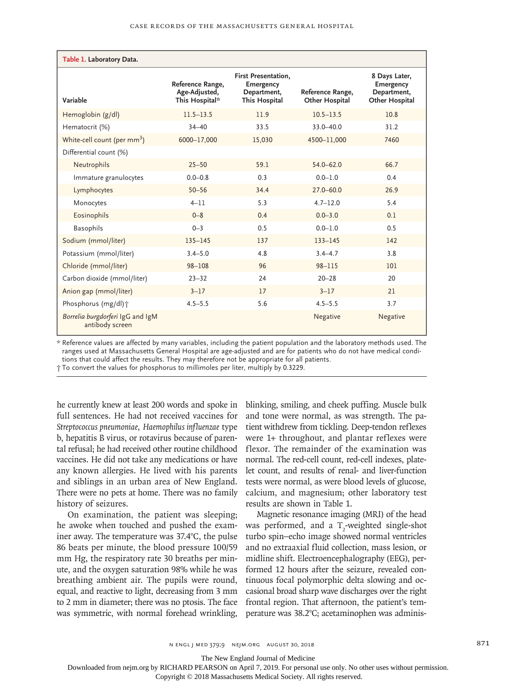| Table 1. Laboratory Data.                           |                                                     |                                                                         |                                           |                                                                    |
|-----------------------------------------------------|-----------------------------------------------------|-------------------------------------------------------------------------|-------------------------------------------|--------------------------------------------------------------------|
| Variable                                            | Reference Range,<br>Age-Adjusted,<br>This Hospital* | <b>First Presentation,</b><br>Emergency<br>Department,<br>This Hospital | Reference Range,<br><b>Other Hospital</b> | 8 Days Later,<br>Emergency<br>Department,<br><b>Other Hospital</b> |
| Hemoglobin (g/dl)                                   | $11.5 - 13.5$                                       | 11.9                                                                    | $10.5 - 13.5$                             | 10.8                                                               |
| Hematocrit (%)                                      | $34 - 40$                                           | 33.5                                                                    | $33.0 - 40.0$                             | 31.2                                                               |
| White-cell count (per $mm3$ )                       | 6000-17,000                                         | 15,030                                                                  | 4500-11,000                               | 7460                                                               |
| Differential count (%)                              |                                                     |                                                                         |                                           |                                                                    |
| Neutrophils                                         | $25 - 50$                                           | 59.1                                                                    | $54.0 - 62.0$                             | 66.7                                                               |
| Immature granulocytes                               | $0.0 - 0.8$                                         | 0.3                                                                     | $0.0 - 1.0$                               | 0.4                                                                |
| Lymphocytes                                         | $50 - 56$                                           | 34.4                                                                    | $27.0 - 60.0$                             | 26.9                                                               |
| Monocytes                                           | $4 - 11$                                            | 5.3                                                                     | $4.7 - 12.0$                              | 5.4                                                                |
| Eosinophils                                         | $0 - 8$                                             | 0.4                                                                     | $0.0 - 3.0$                               | 0.1                                                                |
| Basophils                                           | $0 - 3$                                             | 0.5                                                                     | $0.0 - 1.0$                               | 0.5                                                                |
| Sodium (mmol/liter)                                 | $135 - 145$                                         | 137                                                                     | $133 - 145$                               | 142                                                                |
| Potassium (mmol/liter)                              | $3.4 - 5.0$                                         | 4.8                                                                     | $3.4 - 4.7$                               | 3.8                                                                |
| Chloride (mmol/liter)                               | $98 - 108$                                          | 96                                                                      | $98 - 115$                                | 101                                                                |
| Carbon dioxide (mmol/liter)                         | $23 - 32$                                           | 24                                                                      | $20 - 28$                                 | 20                                                                 |
| Anion gap (mmol/liter)                              | $3 - 17$                                            | 17                                                                      | $3 - 17$                                  | 21                                                                 |
| Phosphorus (mg/dl)+                                 | $4.5 - 5.5$                                         | 5.6                                                                     | $4.5 - 5.5$                               | 3.7                                                                |
| Borrelia burgdorferi IgG and IgM<br>antibody screen |                                                     |                                                                         | Negative                                  | Negative                                                           |

\* Reference values are affected by many variables, including the patient population and the laboratory methods used. The ranges used at Massachusetts General Hospital are age-adjusted and are for patients who do not have medical conditions that could affect the results. They may therefore not be appropriate for all patients.

† To convert the values for phosphorus to millimoles per liter, multiply by 0.3229.

he currently knew at least 200 words and spoke in full sentences. He had not received vaccines for *Streptococcus pneumoniae*, *Haemophilus influenzae* type b, hepatitis B virus, or rotavirus because of parental refusal; he had received other routine childhood vaccines. He did not take any medications or have any known allergies. He lived with his parents and siblings in an urban area of New England. There were no pets at home. There was no family history of seizures.

On examination, the patient was sleeping; he awoke when touched and pushed the examiner away. The temperature was 37.4°C, the pulse 86 beats per minute, the blood pressure 100/59 mm Hg, the respiratory rate 30 breaths per minute, and the oxygen saturation 98% while he was breathing ambient air. The pupils were round, equal, and reactive to light, decreasing from 3 mm to 2 mm in diameter; there was no ptosis. The face was symmetric, with normal forehead wrinkling,

blinking, smiling, and cheek puffing. Muscle bulk and tone were normal, as was strength. The patient withdrew from tickling. Deep-tendon reflexes were 1+ throughout, and plantar reflexes were flexor. The remainder of the examination was normal. The red-cell count, red-cell indexes, platelet count, and results of renal- and liver-function tests were normal, as were blood levels of glucose, calcium, and magnesium; other laboratory test results are shown in Table 1.

Magnetic resonance imaging (MRI) of the head was performed, and a  $T_2$ -weighted single-shot turbo spin–echo image showed normal ventricles and no extraaxial fluid collection, mass lesion, or midline shift. Electroencephalography (EEG), performed 12 hours after the seizure, revealed continuous focal polymorphic delta slowing and occasional broad sharp wave discharges over the right frontal region. That afternoon, the patient's temperature was 38.2°C; acetaminophen was adminis-

The New England Journal of Medicine

Downloaded from nejm.org by RICHARD PEARSON on April 7, 2019. For personal use only. No other uses without permission.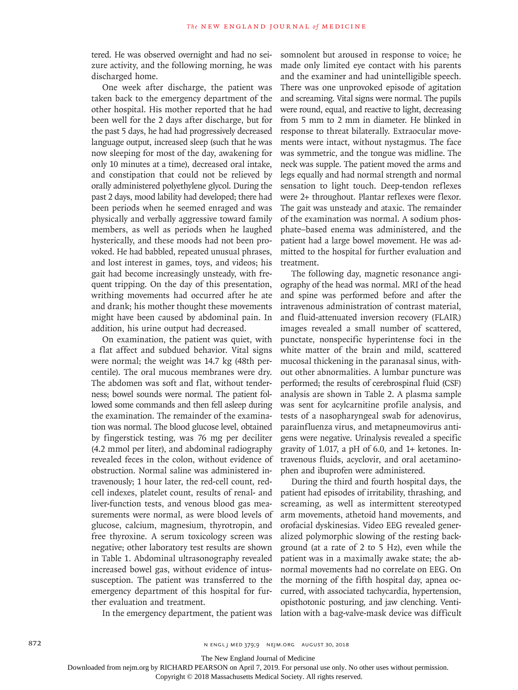tered. He was observed overnight and had no seizure activity, and the following morning, he was discharged home.

One week after discharge, the patient was taken back to the emergency department of the other hospital. His mother reported that he had been well for the 2 days after discharge, but for the past 5 days, he had had progressively decreased language output, increased sleep (such that he was now sleeping for most of the day, awakening for only 10 minutes at a time), decreased oral intake, and constipation that could not be relieved by orally administered polyethylene glycol. During the past 2 days, mood lability had developed; there had been periods when he seemed enraged and was physically and verbally aggressive toward family members, as well as periods when he laughed hysterically, and these moods had not been provoked. He had babbled, repeated unusual phrases, and lost interest in games, toys, and videos; his gait had become increasingly unsteady, with frequent tripping. On the day of this presentation, writhing movements had occurred after he ate and drank; his mother thought these movements might have been caused by abdominal pain. In addition, his urine output had decreased.

On examination, the patient was quiet, with a flat affect and subdued behavior. Vital signs were normal; the weight was 14.7 kg (48th percentile). The oral mucous membranes were dry. The abdomen was soft and flat, without tenderness; bowel sounds were normal. The patient followed some commands and then fell asleep during the examination. The remainder of the examination was normal. The blood glucose level, obtained by fingerstick testing, was 76 mg per deciliter (4.2 mmol per liter), and abdominal radiography revealed feces in the colon, without evidence of obstruction. Normal saline was administered intravenously; 1 hour later, the red-cell count, redcell indexes, platelet count, results of renal- and liver-function tests, and venous blood gas measurements were normal, as were blood levels of glucose, calcium, magnesium, thyrotropin, and free thyroxine. A serum toxicology screen was negative; other laboratory test results are shown in Table 1. Abdominal ultrasonography revealed increased bowel gas, without evidence of intussusception. The patient was transferred to the emergency department of this hospital for further evaluation and treatment.

In the emergency department, the patient was

somnolent but aroused in response to voice; he made only limited eye contact with his parents and the examiner and had unintelligible speech. There was one unprovoked episode of agitation and screaming. Vital signs were normal. The pupils were round, equal, and reactive to light, decreasing from 5 mm to 2 mm in diameter. He blinked in response to threat bilaterally. Extraocular movements were intact, without nystagmus. The face was symmetric, and the tongue was midline. The neck was supple. The patient moved the arms and legs equally and had normal strength and normal sensation to light touch. Deep-tendon reflexes were 2+ throughout. Plantar reflexes were flexor. The gait was unsteady and ataxic. The remainder of the examination was normal. A sodium phosphate–based enema was administered, and the patient had a large bowel movement. He was admitted to the hospital for further evaluation and treatment.

The following day, magnetic resonance angiography of the head was normal. MRI of the head and spine was performed before and after the intravenous administration of contrast material, and fluid-attenuated inversion recovery (FLAIR) images revealed a small number of scattered, punctate, nonspecific hyperintense foci in the white matter of the brain and mild, scattered mucosal thickening in the paranasal sinus, without other abnormalities. A lumbar puncture was performed; the results of cerebrospinal fluid (CSF) analysis are shown in Table 2. A plasma sample was sent for acylcarnitine profile analysis, and tests of a nasopharyngeal swab for adenovirus, parainfluenza virus, and metapneumovirus antigens were negative. Urinalysis revealed a specific gravity of 1.017, a pH of 6.0, and 1+ ketones. Intravenous fluids, acyclovir, and oral acetaminophen and ibuprofen were administered.

During the third and fourth hospital days, the patient had episodes of irritability, thrashing, and screaming, as well as intermittent stereotyped arm movements, athetoid hand movements, and orofacial dyskinesias. Video EEG revealed generalized polymorphic slowing of the resting background (at a rate of 2 to 5 Hz), even while the patient was in a maximally awake state; the abnormal movements had no correlate on EEG. On the morning of the fifth hospital day, apnea occurred, with associated tachycardia, hypertension, opisthotonic posturing, and jaw clenching. Ventilation with a bag-valve-mask device was difficult

872 **N ENGL | MED 379;9 NEIM.ORG AUGUST 30, 2018** 

The New England Journal of Medicine

Downloaded from nejm.org by RICHARD PEARSON on April 7, 2019. For personal use only. No other uses without permission.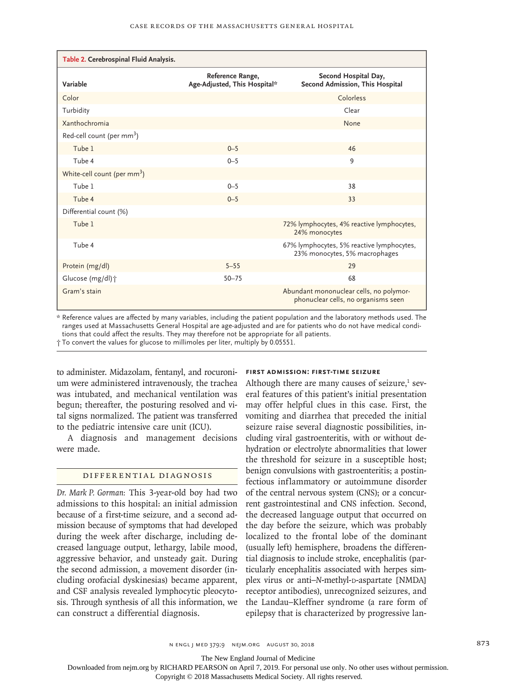| Table 2. Cerebrospinal Fluid Analysis.  |                                                  |                                                                                |  |  |  |
|-----------------------------------------|--------------------------------------------------|--------------------------------------------------------------------------------|--|--|--|
| Variable                                | Reference Range,<br>Age-Adjusted, This Hospital* | Second Hospital Day,<br>Second Admission, This Hospital                        |  |  |  |
| Color                                   |                                                  | Colorless                                                                      |  |  |  |
| Turbidity                               |                                                  | Clear                                                                          |  |  |  |
| Xanthochromia                           |                                                  | None                                                                           |  |  |  |
| Red-cell count (per mm <sup>3</sup> )   |                                                  |                                                                                |  |  |  |
| Tube 1                                  | $0 - 5$                                          | 46                                                                             |  |  |  |
| Tube 4                                  | $0 - 5$                                          | 9                                                                              |  |  |  |
| White-cell count (per mm <sup>3</sup> ) |                                                  |                                                                                |  |  |  |
| Tube 1                                  | $0 - 5$                                          | 38                                                                             |  |  |  |
| Tube 4                                  | $0 - 5$                                          | 33                                                                             |  |  |  |
| Differential count (%)                  |                                                  |                                                                                |  |  |  |
| Tube 1                                  |                                                  | 72% lymphocytes, 4% reactive lymphocytes,<br>24% monocytes                     |  |  |  |
| Tube 4                                  |                                                  | 67% lymphocytes, 5% reactive lymphocytes,<br>23% monocytes, 5% macrophages     |  |  |  |
| Protein (mg/dl)                         | $5 - 55$                                         | 29                                                                             |  |  |  |
| Glucose (mg/dl) +                       | $50 - 75$                                        | 68                                                                             |  |  |  |
| Gram's stain                            |                                                  | Abundant mononuclear cells, no polymor-<br>phonuclear cells, no organisms seen |  |  |  |

\* Reference values are affected by many variables, including the patient population and the laboratory methods used. The ranges used at Massachusetts General Hospital are age-adjusted and are for patients who do not have medical condi‑ tions that could affect the results. They may therefore not be appropriate for all patients.

† To convert the values for glucose to millimoles per liter, multiply by 0.05551.

to administer. Midazolam, fentanyl, and rocuronium were administered intravenously, the trachea was intubated, and mechanical ventilation was begun; thereafter, the posturing resolved and vital signs normalized. The patient was transferred to the pediatric intensive care unit (ICU).

A diagnosis and management decisions were made.

# Differential Diagnosis

*Dr. Mark P. Gorman:* This 3-year-old boy had two admissions to this hospital: an initial admission because of a first-time seizure, and a second admission because of symptoms that had developed during the week after discharge, including decreased language output, lethargy, labile mood, aggressive behavior, and unsteady gait. During the second admission, a movement disorder (including orofacial dyskinesias) became apparent, and CSF analysis revealed lymphocytic pleocytosis. Through synthesis of all this information, we can construct a differential diagnosis.

#### **First Admission: First-Time Seizure**

Although there are many causes of seizure, $<sup>1</sup>$  sev-</sup> eral features of this patient's initial presentation may offer helpful clues in this case. First, the vomiting and diarrhea that preceded the initial seizure raise several diagnostic possibilities, including viral gastroenteritis, with or without dehydration or electrolyte abnormalities that lower the threshold for seizure in a susceptible host; benign convulsions with gastroenteritis; a postinfectious inflammatory or autoimmune disorder of the central nervous system (CNS); or a concurrent gastrointestinal and CNS infection. Second, the decreased language output that occurred on the day before the seizure, which was probably localized to the frontal lobe of the dominant (usually left) hemisphere, broadens the differential diagnosis to include stroke, encephalitis (particularly encephalitis associated with herpes simplex virus or anti-*N*-methyl-D-aspartate [NMDA] receptor antibodies), unrecognized seizures, and the Landau–Kleffner syndrome (a rare form of epilepsy that is characterized by progressive lan-

The New England Journal of Medicine

Downloaded from nejm.org by RICHARD PEARSON on April 7, 2019. For personal use only. No other uses without permission.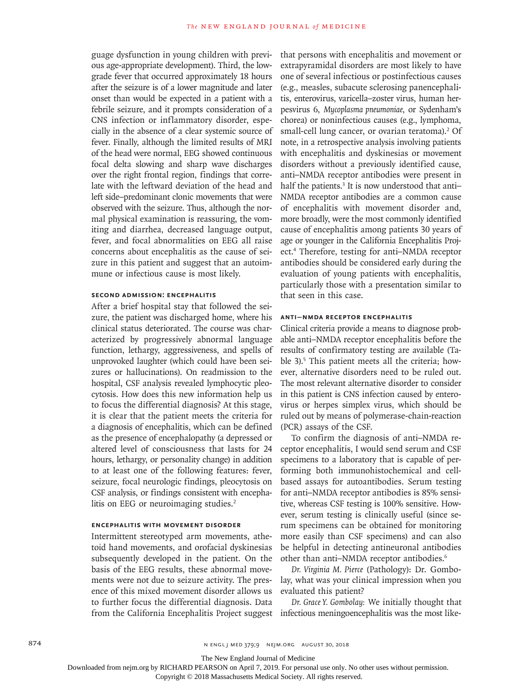guage dysfunction in young children with previous age-appropriate development). Third, the lowgrade fever that occurred approximately 18 hours after the seizure is of a lower magnitude and later onset than would be expected in a patient with a febrile seizure, and it prompts consideration of a CNS infection or inflammatory disorder, especially in the absence of a clear systemic source of fever. Finally, although the limited results of MRI of the head were normal, EEG showed continuous focal delta slowing and sharp wave discharges over the right frontal region, findings that correlate with the leftward deviation of the head and left side–predominant clonic movements that were observed with the seizure. Thus, although the normal physical examination is reassuring, the vomiting and diarrhea, decreased language output, fever, and focal abnormalities on EEG all raise concerns about encephalitis as the cause of seizure in this patient and suggest that an autoimmune or infectious cause is most likely.

# **Second Admission: Encephalitis**

After a brief hospital stay that followed the seizure, the patient was discharged home, where his clinical status deteriorated. The course was characterized by progressively abnormal language function, lethargy, aggressiveness, and spells of unprovoked laughter (which could have been seizures or hallucinations). On readmission to the hospital, CSF analysis revealed lymphocytic pleocytosis. How does this new information help us to focus the differential diagnosis? At this stage, it is clear that the patient meets the criteria for a diagnosis of encephalitis, which can be defined as the presence of encephalopathy (a depressed or altered level of consciousness that lasts for 24 hours, lethargy, or personality change) in addition to at least one of the following features: fever, seizure, focal neurologic findings, pleocytosis on CSF analysis, or findings consistent with encephalitis on EEG or neuroimaging studies.<sup>2</sup>

# **Encephalitis with Movement Disorder**

Intermittent stereotyped arm movements, athetoid hand movements, and orofacial dyskinesias subsequently developed in the patient. On the basis of the EEG results, these abnormal movements were not due to seizure activity. The presence of this mixed movement disorder allows us to further focus the differential diagnosis. Data from the California Encephalitis Project suggest that persons with encephalitis and movement or extrapyramidal disorders are most likely to have one of several infectious or postinfectious causes (e.g., measles, subacute sclerosing panencephalitis, enterovirus, varicella–zoster virus, human herpesvirus 6, *Mycoplasma pneumoniae*, or Sydenham's chorea) or noninfectious causes (e.g., lymphoma, small-cell lung cancer, or ovarian teratoma).<sup>2</sup> Of note, in a retrospective analysis involving patients with encephalitis and dyskinesias or movement disorders without a previously identified cause, anti–NMDA receptor antibodies were present in half the patients.<sup>3</sup> It is now understood that anti-NMDA receptor antibodies are a common cause of encephalitis with movement disorder and, more broadly, were the most commonly identified cause of encephalitis among patients 30 years of age or younger in the California Encephalitis Project.4 Therefore, testing for anti–NMDA receptor antibodies should be considered early during the evaluation of young patients with encephalitis, particularly those with a presentation similar to that seen in this case.

### **Anti–NMDA Receptor Encephalitis**

Clinical criteria provide a means to diagnose probable anti–NMDA receptor encephalitis before the results of confirmatory testing are available (Table 3).<sup>5</sup> This patient meets all the criteria; however, alternative disorders need to be ruled out. The most relevant alternative disorder to consider in this patient is CNS infection caused by enterovirus or herpes simplex virus, which should be ruled out by means of polymerase-chain-reaction (PCR) assays of the CSF.

To confirm the diagnosis of anti–NMDA receptor encephalitis, I would send serum and CSF specimens to a laboratory that is capable of performing both immunohistochemical and cellbased assays for autoantibodies. Serum testing for anti–NMDA receptor antibodies is 85% sensitive, whereas CSF testing is 100% sensitive. However, serum testing is clinically useful (since serum specimens can be obtained for monitoring more easily than CSF specimens) and can also be helpful in detecting antineuronal antibodies other than anti-NMDA receptor antibodies.<sup>6</sup>

*Dr. Virginia M. Pierce* (Pathology): Dr. Gombolay, what was your clinical impression when you evaluated this patient?

*Dr. Grace Y. Gombolay:* We initially thought that infectious meningoencephalitis was the most like-

The New England Journal of Medicine

Downloaded from nejm.org by RICHARD PEARSON on April 7, 2019. For personal use only. No other uses without permission.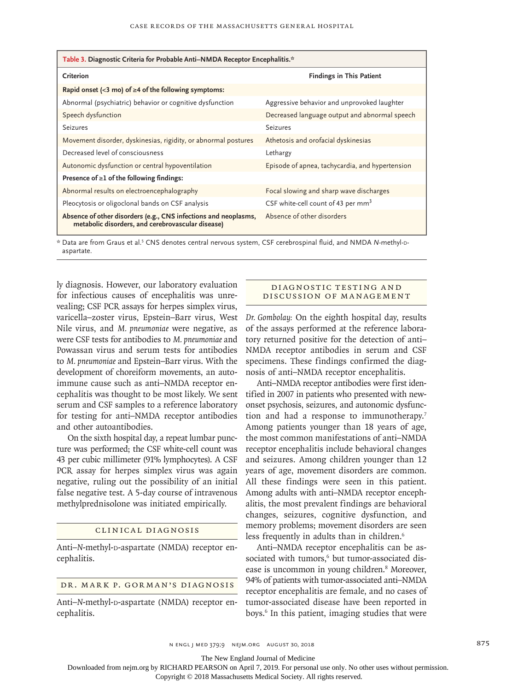| Table 3. Diagnostic Criteria for Probable Anti-NMDA Receptor Encephalitis.*                                          |                                                 |  |  |  |
|----------------------------------------------------------------------------------------------------------------------|-------------------------------------------------|--|--|--|
| Criterion                                                                                                            | <b>Findings in This Patient</b>                 |  |  |  |
| Rapid onset (<3 mo) of $\geq$ 4 of the following symptoms:                                                           |                                                 |  |  |  |
| Abnormal (psychiatric) behavior or cognitive dysfunction                                                             | Aggressive behavior and unprovoked laughter     |  |  |  |
| Speech dysfunction                                                                                                   | Decreased language output and abnormal speech   |  |  |  |
| <b>Seizures</b>                                                                                                      | <b>Seizures</b>                                 |  |  |  |
| Movement disorder, dyskinesias, rigidity, or abnormal postures                                                       | Athetosis and orofacial dyskinesias             |  |  |  |
| Decreased level of consciousness                                                                                     | Lethargy                                        |  |  |  |
| Autonomic dysfunction or central hypoventilation                                                                     | Episode of apnea, tachycardia, and hypertension |  |  |  |
| Presence of $\geq 1$ of the following findings:                                                                      |                                                 |  |  |  |
| Abnormal results on electroencephalography                                                                           | Focal slowing and sharp wave discharges         |  |  |  |
| Pleocytosis or oligoclonal bands on CSF analysis                                                                     | CSF white-cell count of 43 per mm <sup>3</sup>  |  |  |  |
| Absence of other disorders (e.g., CNS infections and neoplasms,<br>metabolic disorders, and cerebrovascular disease) | Absence of other disorders                      |  |  |  |

 $^\star$  Data are from Graus et al.<sup>5</sup> CNS denotes central nervous system, CSF cerebrospinal fluid, and NMDA *N*-methyl-paspartate.

ly diagnosis. However, our laboratory evaluation for infectious causes of encephalitis was unrevealing; CSF PCR assays for herpes simplex virus, varicella–zoster virus, Epstein–Barr virus, West Nile virus, and *M. pneumoniae* were negative, as were CSF tests for antibodies to *M. pneumoniae* and Powassan virus and serum tests for antibodies to *M. pneumoniae* and Epstein–Barr virus. With the development of choreiform movements, an autoimmune cause such as anti–NMDA receptor encephalitis was thought to be most likely. We sent serum and CSF samples to a reference laboratory for testing for anti–NMDA receptor antibodies and other autoantibodies.

On the sixth hospital day, a repeat lumbar puncture was performed; the CSF white-cell count was 43 per cubic millimeter (91% lymphocytes). A CSF PCR assay for herpes simplex virus was again negative, ruling out the possibility of an initial false negative test. A 5-day course of intravenous methylprednisolone was initiated empirically.

## Clinical Diagnosis

Anti-*N*-methyl-D-aspartate (NMDA) receptor encephalitis.

#### Dr. Mark P. Gorman's Diagnosis

Anti–*N*-methyl-<sub>D</sub>-aspartate (NMDA) receptor encephalitis.

# DIAGNOSTIC TESTING AND Discussion of Management

*Dr. Gombolay:* On the eighth hospital day, results of the assays performed at the reference laboratory returned positive for the detection of anti– NMDA receptor antibodies in serum and CSF specimens. These findings confirmed the diagnosis of anti–NMDA receptor encephalitis.

Anti–NMDA receptor antibodies were first identified in 2007 in patients who presented with newonset psychosis, seizures, and autonomic dysfunction and had a response to immunotherapy.<sup>7</sup> Among patients younger than 18 years of age, the most common manifestations of anti–NMDA receptor encephalitis include behavioral changes and seizures. Among children younger than 12 years of age, movement disorders are common. All these findings were seen in this patient. Among adults with anti–NMDA receptor encephalitis, the most prevalent findings are behavioral changes, seizures, cognitive dysfunction, and memory problems; movement disorders are seen less frequently in adults than in children.<sup>6</sup>

Anti–NMDA receptor encephalitis can be associated with tumors,<sup>6</sup> but tumor-associated disease is uncommon in young children.<sup>8</sup> Moreover, 94% of patients with tumor-associated anti–NMDA receptor encephalitis are female, and no cases of tumor-associated disease have been reported in boys.6 In this patient, imaging studies that were

n engl j med 379;9 nejm.org August 30, 2018 875

The New England Journal of Medicine

Downloaded from nejm.org by RICHARD PEARSON on April 7, 2019. For personal use only. No other uses without permission.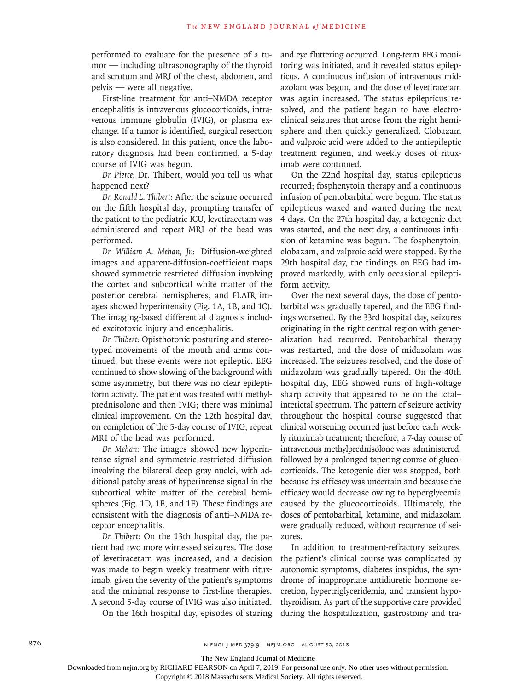performed to evaluate for the presence of a tumor — including ultrasonography of the thyroid and scrotum and MRI of the chest, abdomen, and pelvis — were all negative.

First-line treatment for anti–NMDA receptor encephalitis is intravenous glucocorticoids, intravenous immune globulin (IVIG), or plasma exchange. If a tumor is identified, surgical resection is also considered. In this patient, once the laboratory diagnosis had been confirmed, a 5-day course of IVIG was begun.

*Dr. Pierce:* Dr. Thibert, would you tell us what happened next?

*Dr. Ronald L. Thibert:* After the seizure occurred on the fifth hospital day, prompting transfer of the patient to the pediatric ICU, levetiracetam was administered and repeat MRI of the head was performed.

*Dr. William A. Mehan, Jr.:* Diffusion-weighted images and apparent-diffusion-coefficient maps showed symmetric restricted diffusion involving the cortex and subcortical white matter of the posterior cerebral hemispheres, and FLAIR images showed hyperintensity (Fig. 1A, 1B, and 1C). The imaging-based differential diagnosis included excitotoxic injury and encephalitis.

*Dr. Thibert:* Opisthotonic posturing and stereotyped movements of the mouth and arms continued, but these events were not epileptic. EEG continued to show slowing of the background with some asymmetry, but there was no clear epileptiform activity. The patient was treated with methylprednisolone and then IVIG; there was minimal clinical improvement. On the 12th hospital day, on completion of the 5-day course of IVIG, repeat MRI of the head was performed.

*Dr. Mehan:* The images showed new hyperintense signal and symmetric restricted diffusion involving the bilateral deep gray nuclei, with additional patchy areas of hyperintense signal in the subcortical white matter of the cerebral hemispheres (Fig. 1D, 1E, and 1F). These findings are consistent with the diagnosis of anti–NMDA receptor encephalitis.

*Dr. Thibert:* On the 13th hospital day, the patient had two more witnessed seizures. The dose of levetiracetam was increased, and a decision was made to begin weekly treatment with rituximab, given the severity of the patient's symptoms and the minimal response to first-line therapies. A second 5-day course of IVIG was also initiated.

On the 16th hospital day, episodes of staring

and eye fluttering occurred. Long-term EEG monitoring was initiated, and it revealed status epilepticus. A continuous infusion of intravenous midazolam was begun, and the dose of levetiracetam was again increased. The status epilepticus resolved, and the patient began to have electroclinical seizures that arose from the right hemisphere and then quickly generalized. Clobazam and valproic acid were added to the antiepileptic treatment regimen, and weekly doses of rituximab were continued.

On the 22nd hospital day, status epilepticus recurred; fosphenytoin therapy and a continuous infusion of pentobarbital were begun. The status epilepticus waxed and waned during the next 4 days. On the 27th hospital day, a ketogenic diet was started, and the next day, a continuous infusion of ketamine was begun. The fosphenytoin, clobazam, and valproic acid were stopped. By the 29th hospital day, the findings on EEG had improved markedly, with only occasional epileptiform activity.

Over the next several days, the dose of pentobarbital was gradually tapered, and the EEG findings worsened. By the 33rd hospital day, seizures originating in the right central region with generalization had recurred. Pentobarbital therapy was restarted, and the dose of midazolam was increased. The seizures resolved, and the dose of midazolam was gradually tapered. On the 40th hospital day, EEG showed runs of high-voltage sharp activity that appeared to be on the ictal– interictal spectrum. The pattern of seizure activity throughout the hospital course suggested that clinical worsening occurred just before each weekly rituximab treatment; therefore, a 7-day course of intravenous methylprednisolone was administered, followed by a prolonged tapering course of glucocorticoids. The ketogenic diet was stopped, both because its efficacy was uncertain and because the efficacy would decrease owing to hyperglycemia caused by the glucocorticoids. Ultimately, the doses of pentobarbital, ketamine, and midazolam were gradually reduced, without recurrence of seizures.

In addition to treatment-refractory seizures, the patient's clinical course was complicated by autonomic symptoms, diabetes insipidus, the syndrome of inappropriate antidiuretic hormone secretion, hypertriglyceridemia, and transient hypothyroidism. As part of the supportive care provided during the hospitalization, gastrostomy and tra-

876 **876** n engl j med 379;9 nejm.org August 30, 2018

The New England Journal of Medicine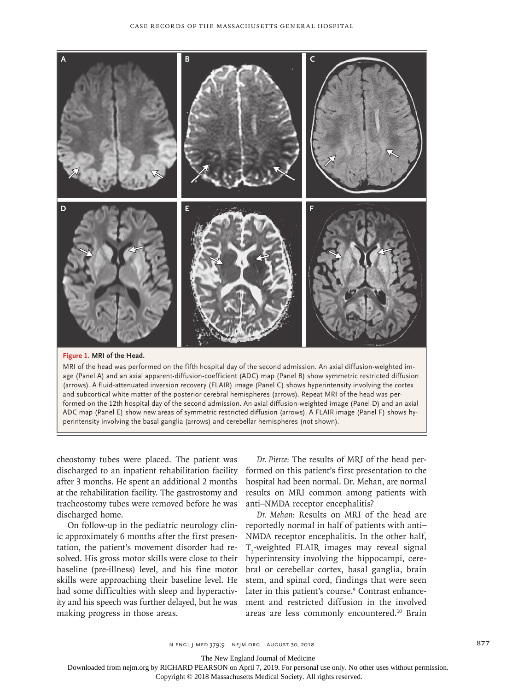

age (Panel A) and an axial apparent-diffusion-coefficient (ADC) map (Panel B) show symmetric restricted diffusion (arrows). A fluid‑attenuated inversion recovery (FLAIR) image (Panel C) shows hyperintensity involving the cortex and subcortical white matter of the posterior cerebral hemispheres (arrows). Repeat MRI of the head was performed on the 12th hospital day of the second admission. An axial diffusion‑weighted image (Panel D) and an axial ADC map (Panel E) show new areas of symmetric restricted diffusion (arrows). A FLAIR image (Panel F) shows hy‑ perintensity involving the basal ganglia (arrows) and cerebellar hemispheres (not shown).

cheostomy tubes were placed. The patient was discharged to an inpatient rehabilitation facility after 3 months. He spent an additional 2 months at the rehabilitation facility. The gastrostomy and tracheostomy tubes were removed before he was discharged home.

On follow-up in the pediatric neurology clinic approximately 6 months after the first presentation, the patient's movement disorder had resolved. His gross motor skills were close to their baseline (pre-illness) level, and his fine motor skills were approaching their baseline level. He had some difficulties with sleep and hyperactivity and his speech was further delayed, but he was making progress in those areas.

*Dr. Pierce:* The results of MRI of the head performed on this patient's first presentation to the hospital had been normal. Dr. Mehan, are normal results on MRI common among patients with anti–NMDA receptor encephalitis?

*Dr. Mehan:* Results on MRI of the head are reportedly normal in half of patients with anti– NMDA receptor encephalitis. In the other half,  $T_{2}$ -weighted FLAIR images may reveal signal hyperintensity involving the hippocampi, cerebral or cerebellar cortex, basal ganglia, brain stem, and spinal cord, findings that were seen later in this patient's course.<sup>9</sup> Contrast enhancement and restricted diffusion in the involved areas are less commonly encountered.10 Brain

The New England Journal of Medicine

Downloaded from nejm.org by RICHARD PEARSON on April 7, 2019. For personal use only. No other uses without permission.